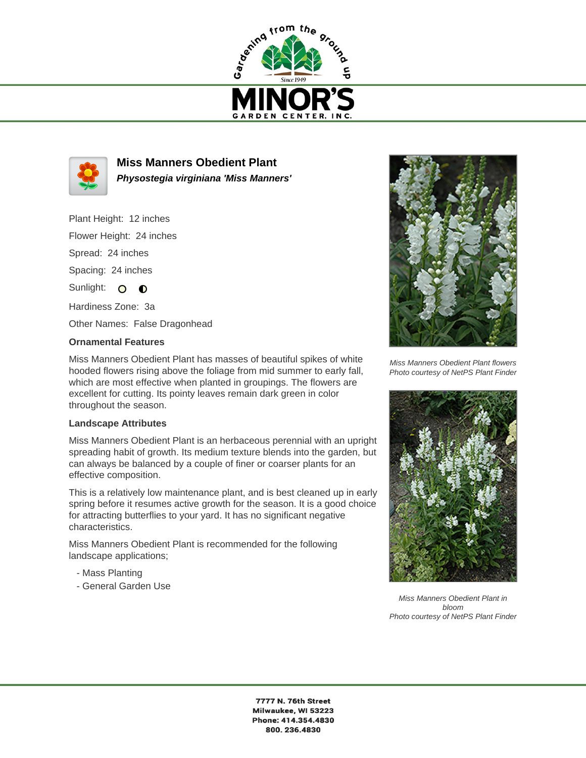



**Miss Manners Obedient Plant Physostegia virginiana 'Miss Manners'**

Plant Height: 12 inches Flower Height: 24 inches

Spread: 24 inches

Spacing: 24 inches

Sunlight: O O

Hardiness Zone: 3a

Other Names: False Dragonhead

## **Ornamental Features**

Miss Manners Obedient Plant has masses of beautiful spikes of white hooded flowers rising above the foliage from mid summer to early fall, which are most effective when planted in groupings. The flowers are excellent for cutting. Its pointy leaves remain dark green in color throughout the season.

## **Landscape Attributes**

Miss Manners Obedient Plant is an herbaceous perennial with an upright spreading habit of growth. Its medium texture blends into the garden, but can always be balanced by a couple of finer or coarser plants for an effective composition.

This is a relatively low maintenance plant, and is best cleaned up in early spring before it resumes active growth for the season. It is a good choice for attracting butterflies to your yard. It has no significant negative characteristics.

Miss Manners Obedient Plant is recommended for the following landscape applications;

- Mass Planting
- General Garden Use



Miss Manners Obedient Plant flowers Photo courtesy of NetPS Plant Finder



Miss Manners Obedient Plant in bloom Photo courtesy of NetPS Plant Finder

7777 N. 76th Street Milwaukee, WI 53223 Phone: 414.354.4830 800.236.4830